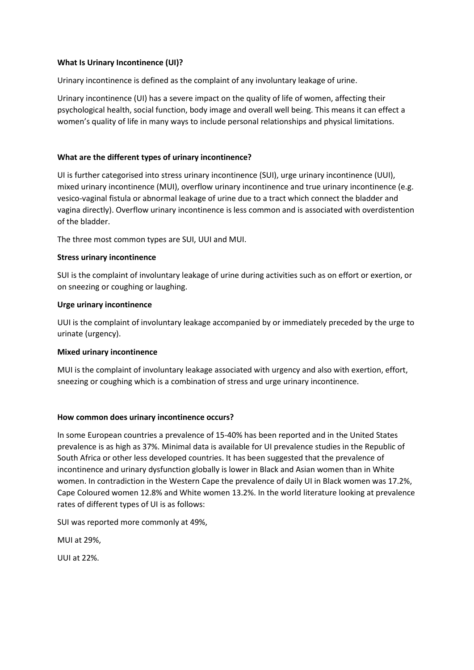## **What Is Urinary Incontinence (UI)?**

Urinary incontinence is defined as the complaint of any involuntary leakage of urine.

Urinary incontinence (UI) has a severe impact on the quality of life of women, affecting their psychological health, social function, body image and overall well being. This means it can effect a women's quality of life in many ways to include personal relationships and physical limitations.

## **What are the different types of urinary incontinence?**

UI is further categorised into stress urinary incontinence (SUI), urge urinary incontinence (UUI), mixed urinary incontinence (MUI), overflow urinary incontinence and true urinary incontinence (e.g. vesico-vaginal fistula or abnormal leakage of urine due to a tract which connect the bladder and vagina directly). Overflow urinary incontinence is less common and is associated with overdistention of the bladder.

The three most common types are SUI, UUI and MUI.

## **Stress urinary incontinence**

SUI is the complaint of involuntary leakage of urine during activities such as on effort or exertion, or on sneezing or coughing or laughing.

## **Urge urinary incontinence**

UUI is the complaint of involuntary leakage accompanied by or immediately preceded by the urge to urinate (urgency).

## **Mixed urinary incontinence**

MUI is the complaint of involuntary leakage associated with urgency and also with exertion, effort, sneezing or coughing which is a combination of stress and urge urinary incontinence.

## **How common does urinary incontinence occurs?**

In some European countries a prevalence of 15-40% has been reported and in the United States prevalence is as high as 37%. Minimal data is available for UI prevalence studies in the Republic of South Africa or other less developed countries. It has been suggested that the prevalence of incontinence and urinary dysfunction globally is lower in Black and Asian women than in White women. In contradiction in the Western Cape the prevalence of daily UI in Black women was 17.2%, Cape Coloured women 12.8% and White women 13.2%. In the world literature looking at prevalence rates of different types of UI is as follows:

SUI was reported more commonly at 49%,

MUI at 29%,

UUI at 22%.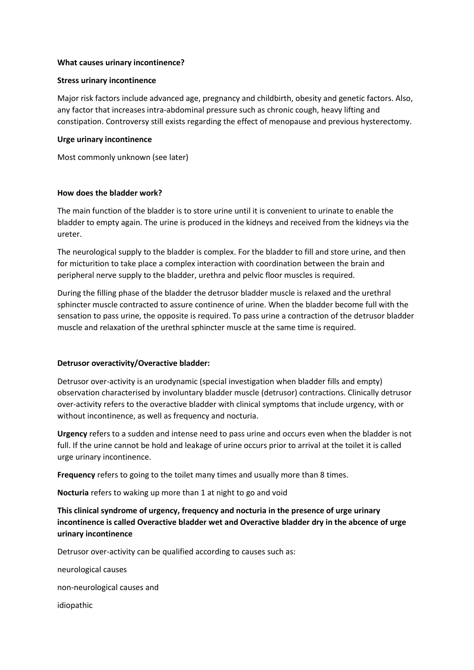### **What causes urinary incontinence?**

### **Stress urinary incontinence**

Major risk factors include advanced age, pregnancy and childbirth, obesity and genetic factors. Also, any factor that increases intra-abdominal pressure such as chronic cough, heavy lifting and constipation. Controversy still exists regarding the effect of menopause and previous hysterectomy.

### **Urge urinary incontinence**

Most commonly unknown (see later)

### **How does the bladder work?**

The main function of the bladder is to store urine until it is convenient to urinate to enable the bladder to empty again. The urine is produced in the kidneys and received from the kidneys via the ureter.

The neurological supply to the bladder is complex. For the bladder to fill and store urine, and then for micturition to take place a complex interaction with coordination between the brain and peripheral nerve supply to the bladder, urethra and pelvic floor muscles is required.

During the filling phase of the bladder the detrusor bladder muscle is relaxed and the urethral sphincter muscle contracted to assure continence of urine. When the bladder become full with the sensation to pass urine, the opposite is required. To pass urine a contraction of the detrusor bladder muscle and relaxation of the urethral sphincter muscle at the same time is required.

## **Detrusor overactivity/Overactive bladder:**

Detrusor over-activity is an urodynamic (special investigation when bladder fills and empty) observation characterised by involuntary bladder muscle (detrusor) contractions. Clinically detrusor over-activity refers to the overactive bladder with clinical symptoms that include urgency, with or without incontinence, as well as frequency and nocturia.

**Urgency** refers to a sudden and intense need to pass urine and occurs even when the bladder is not full. If the urine cannot be hold and leakage of urine occurs prior to arrival at the toilet it is called urge urinary incontinence.

**Frequency** refers to going to the toilet many times and usually more than 8 times.

**Nocturia** refers to waking up more than 1 at night to go and void

# **This clinical syndrome of urgency, frequency and nocturia in the presence of urge urinary incontinence is called Overactive bladder wet and Overactive bladder dry in the abcence of urge urinary incontinence**

Detrusor over-activity can be qualified according to causes such as:

neurological causes

non-neurological causes and

idiopathic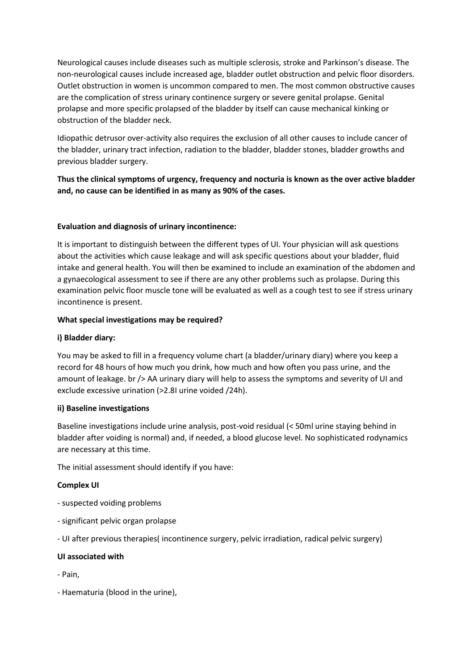Neurological causes include diseases such as multiple sclerosis, stroke and Parkinson's disease. The non-neurological causes include increased age, bladder outlet obstruction and pelvic floor disorders. Outlet obstruction in women is uncommon compared to men. The most common obstructive causes are the complication of stress urinary continence surgery or severe genital prolapse. Genital prolapse and more specific prolapsed of the bladder by itself can cause mechanical kinking or obstruction of the bladder neck.

Idiopathic detrusor over-activity also requires the exclusion of all other causes to include cancer of the bladder, urinary tract infection, radiation to the bladder, bladder stones, bladder growths and previous bladder surgery.

**Thus the clinical symptoms of urgency, frequency and nocturia is known as the over active bladder and, no cause can be identified in as many as 90% of the cases.**

## **Evaluation and diagnosis of urinary incontinence:**

It is important to distinguish between the different types of UI. Your physician will ask questions about the activities which cause leakage and will ask specific questions about your bladder, fluid intake and general health. You will then be examined to include an examination of the abdomen and a gynaecological assessment to see if there are any other problems such as prolapse. During this examination pelvic floor muscle tone will be evaluated as well as a cough test to see if stress urinary incontinence is present.

## **What special investigations may be required?**

## **i) Bladder diary:**

You may be asked to fill in a frequency volume chart (a bladder/urinary diary) where you keep a record for 48 hours of how much you drink, how much and how often you pass urine, and the amount of leakage. br /> AA urinary diary will help to assess the symptoms and severity of UI and exclude excessive urination (>2.8I urine voided /24h).

## **ii) Baseline investigations**

Baseline investigations include urine analysis, post-void residual (< 50ml urine staying behind in bladder after voiding is normal) and, if needed, a blood glucose level. No sophisticated rodynamics are necessary at this time.

The initial assessment should identify if you have:

# **Complex UI**

- suspected voiding problems
- significant pelvic organ prolapse
- UI after previous therapies( incontinence surgery, pelvic irradiation, radical pelvic surgery)

## **UI associated with**

- Pain,
- Haematuria (blood in the urine),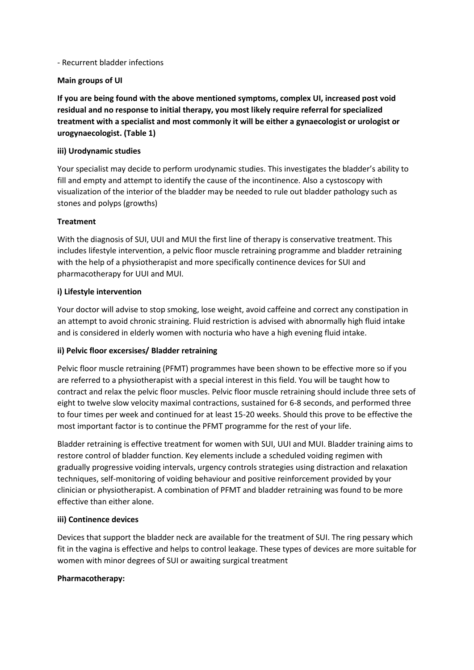### - Recurrent bladder infections

## **Main groups of UI**

**If you are being found with the above mentioned symptoms, complex UI, increased post void residual and no response to initial therapy, you most likely require referral for specialized treatment with a specialist and most commonly it will be either a gynaecologist or urologist or urogynaecologist. (Table 1)** 

## **iii) Urodynamic studies**

Your specialist may decide to perform urodynamic studies. This investigates the bladder's ability to fill and empty and attempt to identify the cause of the incontinence. Also a cystoscopy with visualization of the interior of the bladder may be needed to rule out bladder pathology such as stones and polyps (growths)

## **Treatment**

With the diagnosis of SUI, UUI and MUI the first line of therapy is conservative treatment. This includes lifestyle intervention, a pelvic floor muscle retraining programme and bladder retraining with the help of a physiotherapist and more specifically continence devices for SUI and pharmacotherapy for UUI and MUI.

## **i) Lifestyle intervention**

Your doctor will advise to stop smoking, lose weight, avoid caffeine and correct any constipation in an attempt to avoid chronic straining. Fluid restriction is advised with abnormally high fluid intake and is considered in elderly women with nocturia who have a high evening fluid intake.

# **ii) Pelvic floor excersises/ Bladder retraining**

Pelvic floor muscle retraining (PFMT) programmes have been shown to be effective more so if you are referred to a physiotherapist with a special interest in this field. You will be taught how to contract and relax the pelvic floor muscles. Pelvic floor muscle retraining should include three sets of eight to twelve slow velocity maximal contractions, sustained for 6-8 seconds, and performed three to four times per week and continued for at least 15-20 weeks. Should this prove to be effective the most important factor is to continue the PFMT programme for the rest of your life.

Bladder retraining is effective treatment for women with SUI, UUI and MUI. Bladder training aims to restore control of bladder function. Key elements include a scheduled voiding regimen with gradually progressive voiding intervals, urgency controls strategies using distraction and relaxation techniques, self-monitoring of voiding behaviour and positive reinforcement provided by your clinician or physiotherapist. A combination of PFMT and bladder retraining was found to be more effective than either alone.

## **iii) Continence devices**

Devices that support the bladder neck are available for the treatment of SUI. The ring pessary which fit in the vagina is effective and helps to control leakage. These types of devices are more suitable for women with minor degrees of SUI or awaiting surgical treatment

## **Pharmacotherapy:**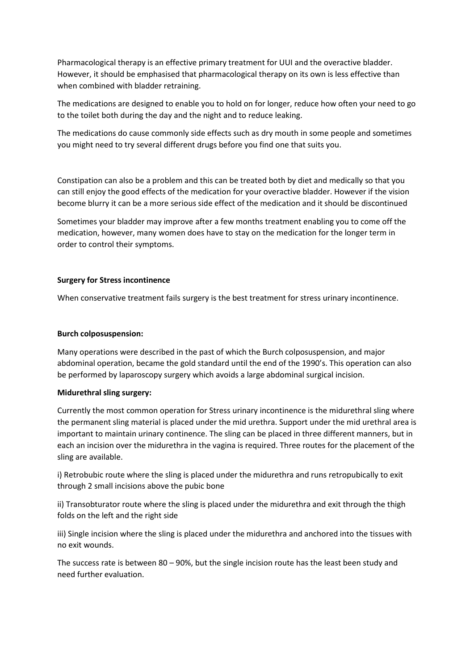Pharmacological therapy is an effective primary treatment for UUI and the overactive bladder. However, it should be emphasised that pharmacological therapy on its own is less effective than when combined with bladder retraining.

The medications are designed to enable you to hold on for longer, reduce how often your need to go to the toilet both during the day and the night and to reduce leaking.

The medications do cause commonly side effects such as dry mouth in some people and sometimes you might need to try several different drugs before you find one that suits you.

Constipation can also be a problem and this can be treated both by diet and medically so that you can still enjoy the good effects of the medication for your overactive bladder. However if the vision become blurry it can be a more serious side effect of the medication and it should be discontinued

Sometimes your bladder may improve after a few months treatment enabling you to come off the medication, however, many women does have to stay on the medication for the longer term in order to control their symptoms.

### **Surgery for Stress incontinence**

When conservative treatment fails surgery is the best treatment for stress urinary incontinence.

#### **Burch colposuspension:**

Many operations were described in the past of which the Burch colposuspension, and major abdominal operation, became the gold standard until the end of the 1990's. This operation can also be performed by laparoscopy surgery which avoids a large abdominal surgical incision.

#### **Midurethral sling surgery:**

Currently the most common operation for Stress urinary incontinence is the midurethral sling where the permanent sling material is placed under the mid urethra. Support under the mid urethral area is important to maintain urinary continence. The sling can be placed in three different manners, but in each an incision over the midurethra in the vagina is required. Three routes for the placement of the sling are available.

i) Retrobubic route where the sling is placed under the midurethra and runs retropubically to exit through 2 small incisions above the pubic bone

ii) Transobturator route where the sling is placed under the midurethra and exit through the thigh folds on the left and the right side

iii) Single incision where the sling is placed under the midurethra and anchored into the tissues with no exit wounds.

The success rate is between 80 – 90%, but the single incision route has the least been study and need further evaluation.